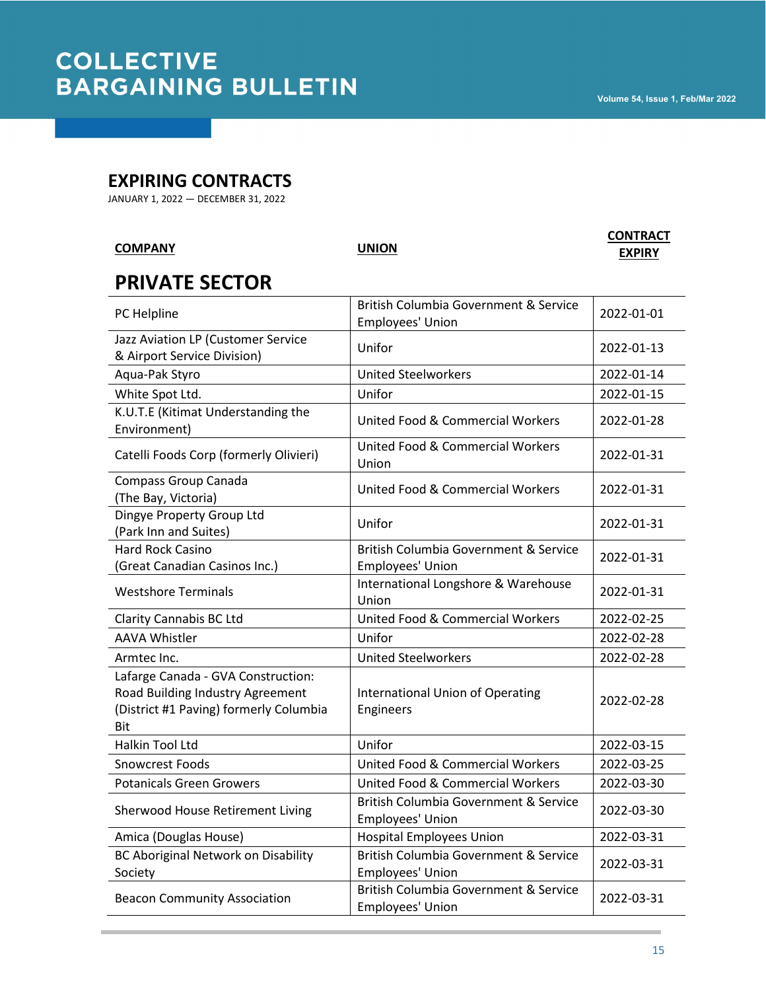#### **EXPIRING CONTRACTS**

JANUARY 1, 2022 — DECEMBER 31, 2022

Society

| <b>COMPANY</b>                                                                                                          | UNION                                                     | <b>CONTRACT</b><br><b>EXPIRY</b> |
|-------------------------------------------------------------------------------------------------------------------------|-----------------------------------------------------------|----------------------------------|
| <b>PRIVATE SECTOR</b>                                                                                                   |                                                           |                                  |
| PC Helpline                                                                                                             | British Columbia Government & Service<br>Employees' Union | 2022-01-01                       |
| Jazz Aviation LP (Customer Service<br>& Airport Service Division)                                                       | Unifor                                                    | 2022-01-13                       |
| Aqua-Pak Styro                                                                                                          | <b>United Steelworkers</b>                                | 2022-01-14                       |
| White Spot Ltd.                                                                                                         | Unifor                                                    | 2022-01-15                       |
| K.U.T.E (Kitimat Understanding the<br>Environment)                                                                      | <b>United Food &amp; Commercial Workers</b>               | 2022-01-28                       |
| Catelli Foods Corp (formerly Olivieri)                                                                                  | United Food & Commercial Workers<br>Union                 | 2022-01-31                       |
| Compass Group Canada<br>(The Bay, Victoria)                                                                             | United Food & Commercial Workers                          | 2022-01-31                       |
| Dingye Property Group Ltd<br>(Park Inn and Suites)                                                                      | Unifor                                                    | 2022-01-31                       |
| Hard Rock Casino<br>(Great Canadian Casinos Inc.)                                                                       | British Columbia Government & Service<br>Employees' Union | 2022-01-31                       |
| <b>Westshore Terminals</b>                                                                                              | International Longshore & Warehouse<br>Union              | 2022-01-31                       |
| <b>Clarity Cannabis BC Ltd</b>                                                                                          | <b>United Food &amp; Commercial Workers</b>               | 2022-02-25                       |
| <b>AAVA Whistler</b>                                                                                                    | Unifor                                                    | 2022-02-28                       |
| Armtec Inc.                                                                                                             | <b>United Steelworkers</b>                                | 2022-02-28                       |
| Lafarge Canada - GVA Construction:<br>Road Building Industry Agreement<br>(District #1 Paving) formerly Columbia<br>Bit | <b>International Union of Operating</b><br>Engineers      | 2022-02-28                       |
| Halkin Tool Ltd                                                                                                         | Unifor                                                    | 2022-03-15                       |
| <b>Snowcrest Foods</b>                                                                                                  | United Food & Commercial Workers                          | 2022-03-25                       |
| <b>Potanicals Green Growers</b>                                                                                         | United Food & Commercial Workers                          | 2022-03-30                       |
| Sherwood House Retirement Living                                                                                        | British Columbia Government & Service<br>Employees' Union | 2022-03-30                       |
| Amica (Douglas House)                                                                                                   | <b>Hospital Employees Union</b>                           | 2022-03-31                       |
| <b>BC Aboriginal Network on Disability</b>                                                                              | British Columbia Government & Service                     | $\frac{1}{2}$                    |

Beacon Community Association **British Columbia Government & Service** 

Employees' Union

Employees' Union 2022-03-31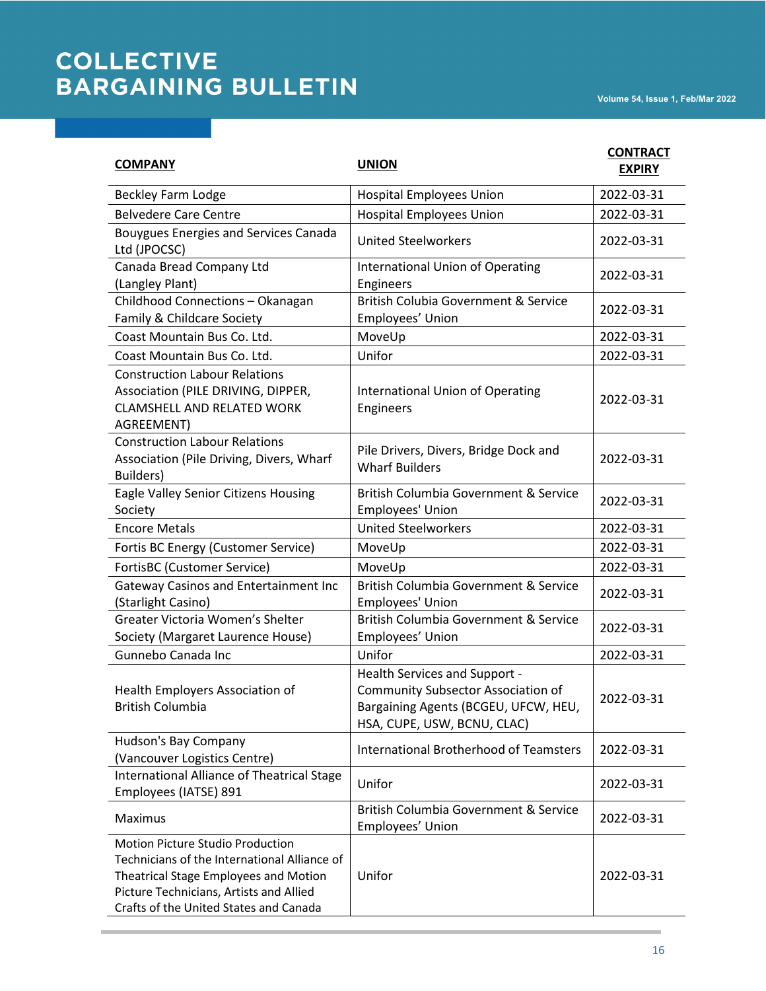| <b>COMPANY</b>                                                                                                                                                                                                        | <b>UNION</b>                                                                                                                                             | <b>CONTRACT</b><br><b>EXPIRY</b> |
|-----------------------------------------------------------------------------------------------------------------------------------------------------------------------------------------------------------------------|----------------------------------------------------------------------------------------------------------------------------------------------------------|----------------------------------|
| Beckley Farm Lodge                                                                                                                                                                                                    | <b>Hospital Employees Union</b>                                                                                                                          | 2022-03-31                       |
| <b>Belvedere Care Centre</b>                                                                                                                                                                                          | <b>Hospital Employees Union</b>                                                                                                                          | 2022-03-31                       |
| <b>Bouygues Energies and Services Canada</b><br>Ltd (JPOCSC)                                                                                                                                                          | <b>United Steelworkers</b>                                                                                                                               | 2022-03-31                       |
| Canada Bread Company Ltd<br>(Langley Plant)                                                                                                                                                                           | <b>International Union of Operating</b><br>Engineers                                                                                                     | 2022-03-31                       |
| Childhood Connections - Okanagan<br>Family & Childcare Society                                                                                                                                                        | British Colubia Government & Service<br>Employees' Union                                                                                                 | 2022-03-31                       |
| Coast Mountain Bus Co. Ltd.                                                                                                                                                                                           | MoveUp                                                                                                                                                   | 2022-03-31                       |
| Coast Mountain Bus Co. Ltd.                                                                                                                                                                                           | Unifor                                                                                                                                                   | 2022-03-31                       |
| <b>Construction Labour Relations</b><br>Association (PILE DRIVING, DIPPER,<br><b>CLAMSHELL AND RELATED WORK</b><br>AGREEMENT)                                                                                         | <b>International Union of Operating</b><br>Engineers                                                                                                     | 2022-03-31                       |
| <b>Construction Labour Relations</b><br>Association (Pile Driving, Divers, Wharf<br>Builders)                                                                                                                         | Pile Drivers, Divers, Bridge Dock and<br><b>Wharf Builders</b>                                                                                           | 2022-03-31                       |
| Eagle Valley Senior Citizens Housing<br>Society                                                                                                                                                                       | British Columbia Government & Service<br>Employees' Union                                                                                                | 2022-03-31                       |
| <b>Encore Metals</b>                                                                                                                                                                                                  | <b>United Steelworkers</b>                                                                                                                               | 2022-03-31                       |
| Fortis BC Energy (Customer Service)                                                                                                                                                                                   | MoveUp                                                                                                                                                   | 2022-03-31                       |
| <b>FortisBC (Customer Service)</b>                                                                                                                                                                                    | MoveUp                                                                                                                                                   | 2022-03-31                       |
| Gateway Casinos and Entertainment Inc<br>(Starlight Casino)                                                                                                                                                           | British Columbia Government & Service<br>Employees' Union                                                                                                | 2022-03-31                       |
| Greater Victoria Women's Shelter<br>Society (Margaret Laurence House)                                                                                                                                                 | British Columbia Government & Service<br>Employees' Union                                                                                                | 2022-03-31                       |
| Gunnebo Canada Inc                                                                                                                                                                                                    | Unifor                                                                                                                                                   | 2022-03-31                       |
| Health Employers Association of<br>British Columbia                                                                                                                                                                   | <b>Health Services and Support -</b><br><b>Community Subsector Association of</b><br>Bargaining Agents (BCGEU, UFCW, HEU,<br>HSA, CUPE, USW, BCNU, CLAC) | 2022-03-31                       |
| Hudson's Bay Company<br>(Vancouver Logistics Centre)                                                                                                                                                                  | <b>International Brotherhood of Teamsters</b>                                                                                                            | 2022-03-31                       |
| International Alliance of Theatrical Stage<br>Employees (IATSE) 891                                                                                                                                                   | Unifor                                                                                                                                                   | 2022-03-31                       |
| Maximus                                                                                                                                                                                                               | British Columbia Government & Service<br>Employees' Union                                                                                                | 2022-03-31                       |
| <b>Motion Picture Studio Production</b><br>Technicians of the International Alliance of<br>Theatrical Stage Employees and Motion<br>Picture Technicians, Artists and Allied<br>Crafts of the United States and Canada | Unifor                                                                                                                                                   | 2022-03-31                       |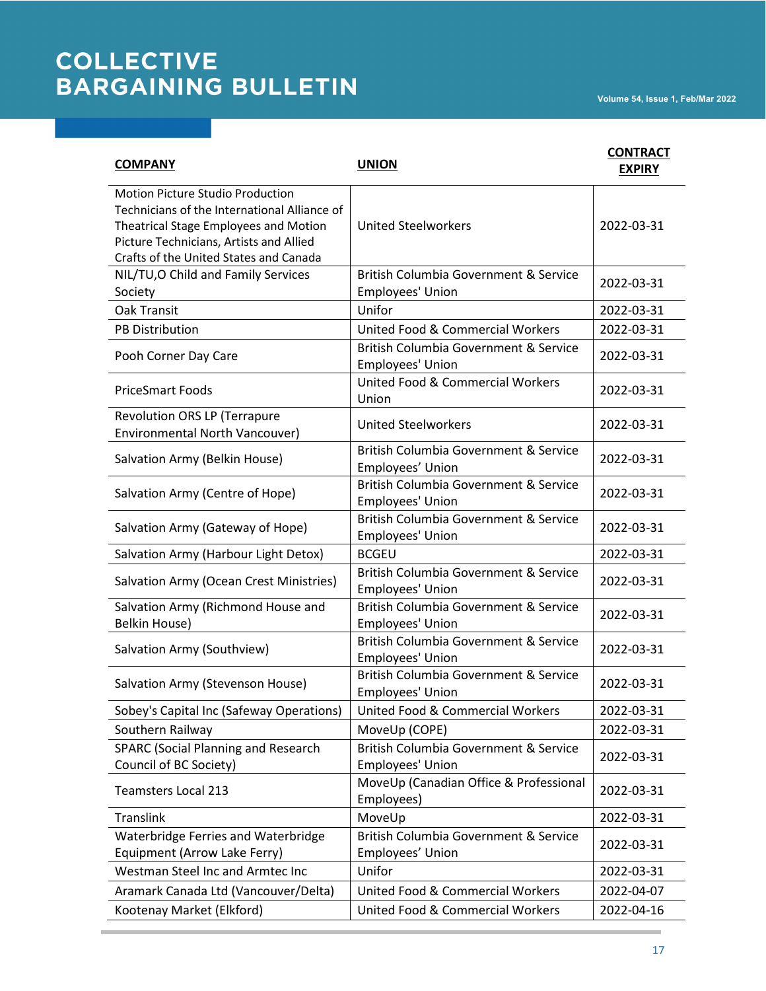| <b>COMPANY</b>                                                                                                                                                                                                        | <b>UNION</b>                                              | <b>CONTRACT</b><br><b>EXPIRY</b> |
|-----------------------------------------------------------------------------------------------------------------------------------------------------------------------------------------------------------------------|-----------------------------------------------------------|----------------------------------|
| <b>Motion Picture Studio Production</b><br>Technicians of the International Alliance of<br>Theatrical Stage Employees and Motion<br>Picture Technicians, Artists and Allied<br>Crafts of the United States and Canada | <b>United Steelworkers</b>                                | 2022-03-31                       |
| NIL/TU, O Child and Family Services<br>Society                                                                                                                                                                        | British Columbia Government & Service<br>Employees' Union | 2022-03-31                       |
| <b>Oak Transit</b>                                                                                                                                                                                                    | Unifor                                                    | 2022-03-31                       |
| <b>PB Distribution</b>                                                                                                                                                                                                | <b>United Food &amp; Commercial Workers</b>               | 2022-03-31                       |
| Pooh Corner Day Care                                                                                                                                                                                                  | British Columbia Government & Service<br>Employees' Union | 2022-03-31                       |
| <b>PriceSmart Foods</b>                                                                                                                                                                                               | <b>United Food &amp; Commercial Workers</b><br>Union      | 2022-03-31                       |
| <b>Revolution ORS LP (Terrapure</b><br>Environmental North Vancouver)                                                                                                                                                 | <b>United Steelworkers</b>                                | 2022-03-31                       |
| Salvation Army (Belkin House)                                                                                                                                                                                         | British Columbia Government & Service<br>Employees' Union | 2022-03-31                       |
| Salvation Army (Centre of Hope)                                                                                                                                                                                       | British Columbia Government & Service<br>Employees' Union | 2022-03-31                       |
| Salvation Army (Gateway of Hope)                                                                                                                                                                                      | British Columbia Government & Service<br>Employees' Union | 2022-03-31                       |
| Salvation Army (Harbour Light Detox)                                                                                                                                                                                  | <b>BCGEU</b>                                              | 2022-03-31                       |
| Salvation Army (Ocean Crest Ministries)                                                                                                                                                                               | British Columbia Government & Service<br>Employees' Union | 2022-03-31                       |
| Salvation Army (Richmond House and<br>Belkin House)                                                                                                                                                                   | British Columbia Government & Service<br>Employees' Union | 2022-03-31                       |
| Salvation Army (Southview)                                                                                                                                                                                            | British Columbia Government & Service<br>Employees' Union | 2022-03-31                       |
| Salvation Army (Stevenson House)                                                                                                                                                                                      | British Columbia Government & Service<br>Employees' Union | 2022-03-31                       |
| Sobey's Capital Inc (Safeway Operations)                                                                                                                                                                              | United Food & Commercial Workers                          | 2022-03-31                       |
| Southern Railway                                                                                                                                                                                                      | MoveUp (COPE)                                             | 2022-03-31                       |
| <b>SPARC (Social Planning and Research</b><br>Council of BC Society)                                                                                                                                                  | British Columbia Government & Service<br>Employees' Union | 2022-03-31                       |
| <b>Teamsters Local 213</b>                                                                                                                                                                                            | MoveUp (Canadian Office & Professional<br>Employees)      | 2022-03-31                       |
| <b>Translink</b>                                                                                                                                                                                                      | MoveUp                                                    | 2022-03-31                       |
| Waterbridge Ferries and Waterbridge<br>Equipment (Arrow Lake Ferry)                                                                                                                                                   | British Columbia Government & Service<br>Employees' Union | 2022-03-31                       |
| Westman Steel Inc and Armtec Inc                                                                                                                                                                                      | Unifor                                                    | 2022-03-31                       |
| Aramark Canada Ltd (Vancouver/Delta)                                                                                                                                                                                  | <b>United Food &amp; Commercial Workers</b>               | 2022-04-07                       |
| Kootenay Market (Elkford)                                                                                                                                                                                             | <b>United Food &amp; Commercial Workers</b>               | 2022-04-16                       |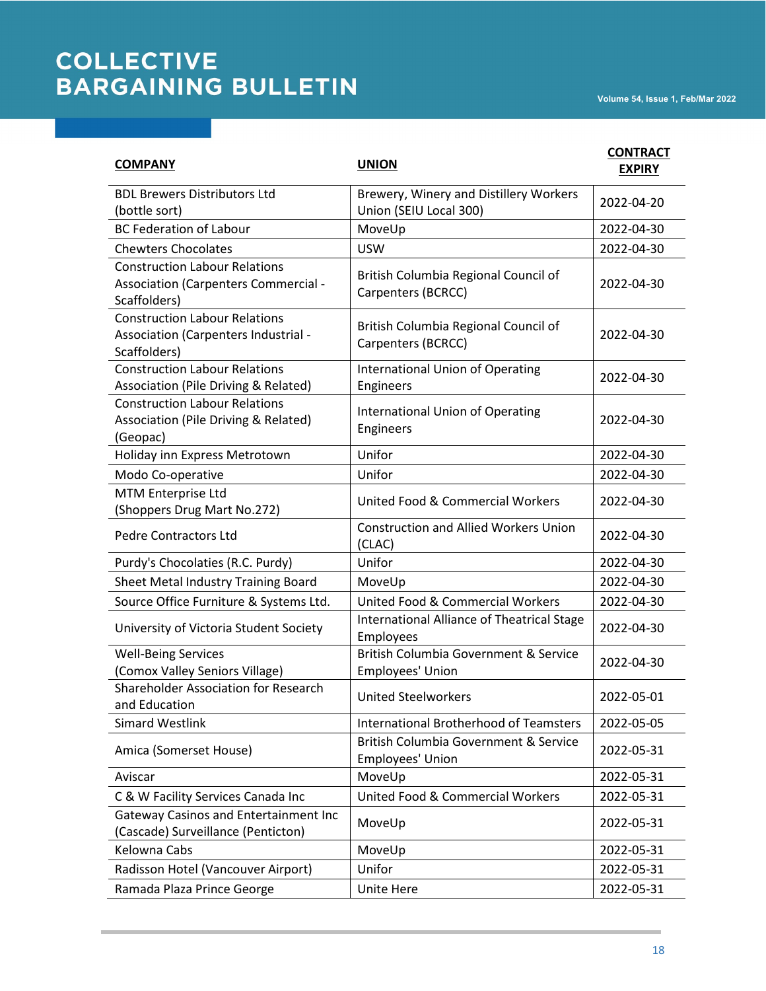| <b>COMPANY</b>                                                                               | <b>UNION</b>                                                     | <b>CONTRACT</b><br><b>EXPIRY</b> |
|----------------------------------------------------------------------------------------------|------------------------------------------------------------------|----------------------------------|
| <b>BDL Brewers Distributors Ltd</b><br>(bottle sort)                                         | Brewery, Winery and Distillery Workers<br>Union (SEIU Local 300) | 2022-04-20                       |
| <b>BC Federation of Labour</b>                                                               | MoveUp                                                           | 2022-04-30                       |
| <b>Chewters Chocolates</b>                                                                   | <b>USW</b>                                                       | 2022-04-30                       |
| <b>Construction Labour Relations</b><br>Association (Carpenters Commercial -<br>Scaffolders) | British Columbia Regional Council of<br>Carpenters (BCRCC)       | 2022-04-30                       |
| <b>Construction Labour Relations</b><br>Association (Carpenters Industrial -<br>Scaffolders) | British Columbia Regional Council of<br>Carpenters (BCRCC)       | 2022-04-30                       |
| <b>Construction Labour Relations</b><br>Association (Pile Driving & Related)                 | <b>International Union of Operating</b><br>Engineers             | 2022-04-30                       |
| <b>Construction Labour Relations</b><br>Association (Pile Driving & Related)<br>(Geopac)     | <b>International Union of Operating</b><br>Engineers             | 2022-04-30                       |
| Holiday inn Express Metrotown                                                                | Unifor                                                           | 2022-04-30                       |
| Modo Co-operative                                                                            | Unifor                                                           | 2022-04-30                       |
| MTM Enterprise Ltd<br>(Shoppers Drug Mart No.272)                                            | United Food & Commercial Workers                                 | 2022-04-30                       |
| <b>Pedre Contractors Ltd</b>                                                                 | <b>Construction and Allied Workers Union</b><br>(CLAC)           | 2022-04-30                       |
| Purdy's Chocolaties (R.C. Purdy)                                                             | Unifor                                                           | 2022-04-30                       |
| Sheet Metal Industry Training Board                                                          | MoveUp                                                           | 2022-04-30                       |
| Source Office Furniture & Systems Ltd.                                                       | United Food & Commercial Workers                                 | 2022-04-30                       |
| University of Victoria Student Society                                                       | International Alliance of Theatrical Stage<br>Employees          | 2022-04-30                       |
| <b>Well-Being Services</b><br>(Comox Valley Seniors Village)                                 | British Columbia Government & Service<br>Employees' Union        | 2022-04-30                       |
| Shareholder Association for Research<br>and Education                                        | <b>United Steelworkers</b>                                       | 2022-05-01                       |
| <b>Simard Westlink</b>                                                                       | <b>International Brotherhood of Teamsters</b>                    | 2022-05-05                       |
| Amica (Somerset House)                                                                       | British Columbia Government & Service<br>Employees' Union        | 2022-05-31                       |
| Aviscar                                                                                      | MoveUp                                                           | 2022-05-31                       |
| C & W Facility Services Canada Inc                                                           | United Food & Commercial Workers                                 | 2022-05-31                       |
| Gateway Casinos and Entertainment Inc<br>(Cascade) Surveillance (Penticton)                  | MoveUp                                                           | 2022-05-31                       |
| Kelowna Cabs                                                                                 | MoveUp                                                           | 2022-05-31                       |
| Radisson Hotel (Vancouver Airport)                                                           | Unifor                                                           | 2022-05-31                       |
| Ramada Plaza Prince George                                                                   | Unite Here                                                       | 2022-05-31                       |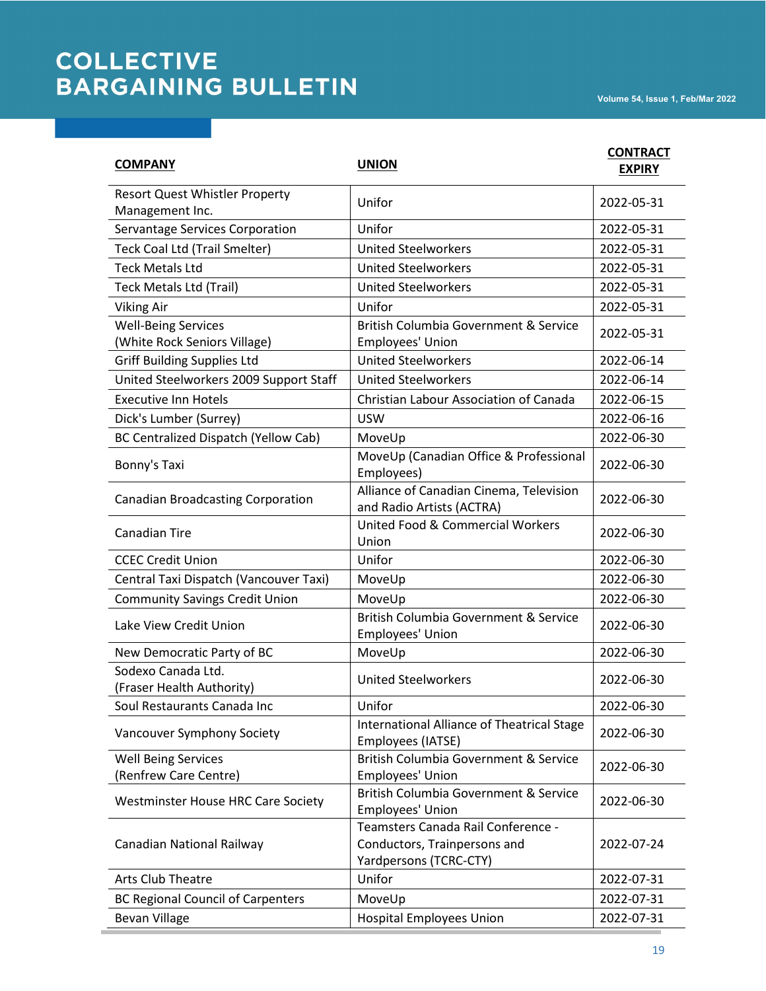| <b>COMPANY</b>                                             | <b>UNION</b>                                                                                 | <b>CONTRACT</b><br><b>EXPIRY</b> |
|------------------------------------------------------------|----------------------------------------------------------------------------------------------|----------------------------------|
| Resort Quest Whistler Property<br>Management Inc.          | Unifor                                                                                       | 2022-05-31                       |
| Servantage Services Corporation                            | Unifor                                                                                       | 2022-05-31                       |
| Teck Coal Ltd (Trail Smelter)                              | <b>United Steelworkers</b>                                                                   | 2022-05-31                       |
| <b>Teck Metals Ltd</b>                                     | <b>United Steelworkers</b>                                                                   | 2022-05-31                       |
| Teck Metals Ltd (Trail)                                    | <b>United Steelworkers</b>                                                                   | 2022-05-31                       |
| <b>Viking Air</b>                                          | Unifor                                                                                       | 2022-05-31                       |
| <b>Well-Being Services</b><br>(White Rock Seniors Village) | British Columbia Government & Service<br>Employees' Union                                    | 2022-05-31                       |
| <b>Griff Building Supplies Ltd</b>                         | <b>United Steelworkers</b>                                                                   | 2022-06-14                       |
| United Steelworkers 2009 Support Staff                     | <b>United Steelworkers</b>                                                                   | 2022-06-14                       |
| <b>Executive Inn Hotels</b>                                | Christian Labour Association of Canada                                                       | 2022-06-15                       |
| Dick's Lumber (Surrey)                                     | <b>USW</b>                                                                                   | 2022-06-16                       |
| <b>BC Centralized Dispatch (Yellow Cab)</b>                | MoveUp                                                                                       | 2022-06-30                       |
| Bonny's Taxi                                               | MoveUp (Canadian Office & Professional<br>Employees)                                         | 2022-06-30                       |
| <b>Canadian Broadcasting Corporation</b>                   | Alliance of Canadian Cinema, Television<br>and Radio Artists (ACTRA)                         | 2022-06-30                       |
| <b>Canadian Tire</b>                                       | United Food & Commercial Workers<br>Union                                                    | 2022-06-30                       |
| <b>CCEC Credit Union</b>                                   | Unifor                                                                                       | 2022-06-30                       |
| Central Taxi Dispatch (Vancouver Taxi)                     | MoveUp                                                                                       | 2022-06-30                       |
| <b>Community Savings Credit Union</b>                      | MoveUp                                                                                       | 2022-06-30                       |
| Lake View Credit Union                                     | British Columbia Government & Service<br>Employees' Union                                    | 2022-06-30                       |
| New Democratic Party of BC                                 | MoveUp                                                                                       | 2022-06-30                       |
| Sodexo Canada Ltd.<br>(Fraser Health Authority)            | <b>United Steelworkers</b>                                                                   | 2022-06-30                       |
| Soul Restaurants Canada Inc                                | Unifor                                                                                       | 2022-06-30                       |
| Vancouver Symphony Society                                 | <b>International Alliance of Theatrical Stage</b><br>Employees (IATSE)                       | 2022-06-30                       |
| <b>Well Being Services</b><br>(Renfrew Care Centre)        | British Columbia Government & Service<br>Employees' Union                                    | 2022-06-30                       |
| <b>Westminster House HRC Care Society</b>                  | British Columbia Government & Service<br>Employees' Union                                    | 2022-06-30                       |
| Canadian National Railway                                  | Teamsters Canada Rail Conference -<br>Conductors, Trainpersons and<br>Yardpersons (TCRC-CTY) | 2022-07-24                       |
| Arts Club Theatre                                          | Unifor                                                                                       | 2022-07-31                       |
| <b>BC Regional Council of Carpenters</b>                   | MoveUp                                                                                       | 2022-07-31                       |
| <b>Bevan Village</b>                                       | Hospital Employees Union                                                                     | 2022-07-31                       |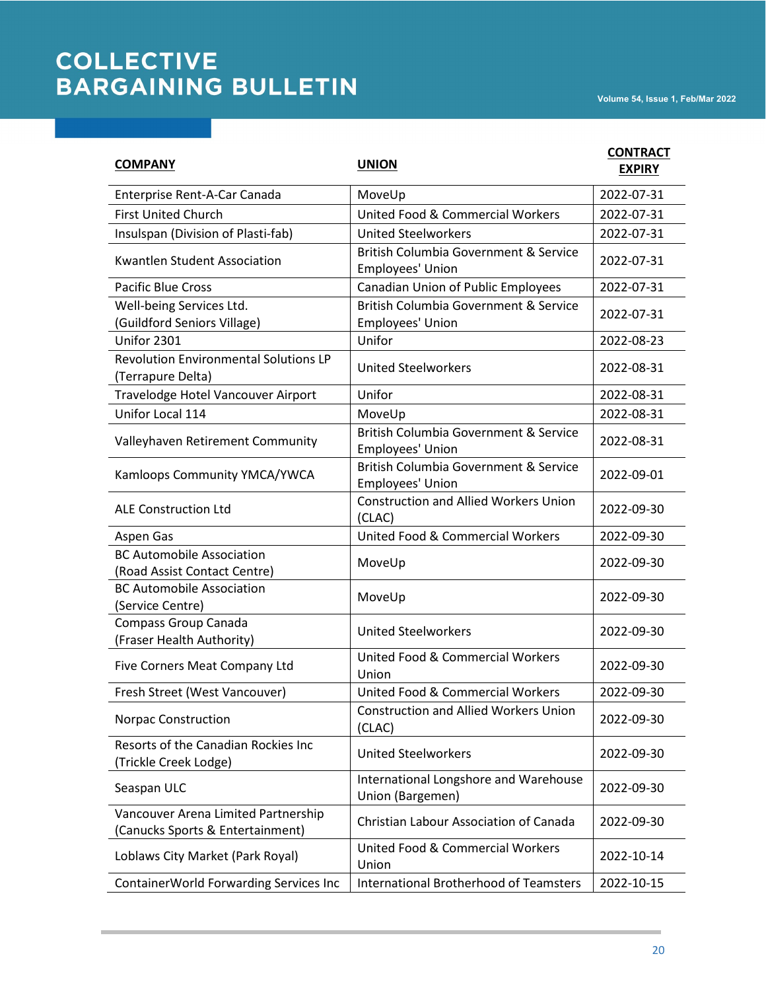| <b>COMPANY</b>                                                          | <b>UNION</b>                                              | <b>CONTRACT</b><br><b>EXPIRY</b> |
|-------------------------------------------------------------------------|-----------------------------------------------------------|----------------------------------|
| Enterprise Rent-A-Car Canada                                            | MoveUp                                                    | 2022-07-31                       |
| <b>First United Church</b>                                              | United Food & Commercial Workers                          | 2022-07-31                       |
| Insulspan (Division of Plasti-fab)                                      | <b>United Steelworkers</b>                                | 2022-07-31                       |
| <b>Kwantlen Student Association</b>                                     | British Columbia Government & Service<br>Employees' Union | 2022-07-31                       |
| <b>Pacific Blue Cross</b>                                               | Canadian Union of Public Employees                        | 2022-07-31                       |
| Well-being Services Ltd.<br>(Guildford Seniors Village)                 | British Columbia Government & Service<br>Employees' Union | 2022-07-31                       |
| Unifor 2301                                                             | Unifor                                                    | 2022-08-23                       |
| <b>Revolution Environmental Solutions LP</b><br>(Terrapure Delta)       | <b>United Steelworkers</b>                                | 2022-08-31                       |
| Travelodge Hotel Vancouver Airport                                      | Unifor                                                    | 2022-08-31                       |
| Unifor Local 114                                                        | MoveUp                                                    | 2022-08-31                       |
| Valleyhaven Retirement Community                                        | British Columbia Government & Service<br>Employees' Union | 2022-08-31                       |
| Kamloops Community YMCA/YWCA                                            | British Columbia Government & Service<br>Employees' Union | 2022-09-01                       |
| <b>ALE Construction Ltd</b>                                             | <b>Construction and Allied Workers Union</b><br>(CLAC)    | 2022-09-30                       |
| Aspen Gas                                                               | United Food & Commercial Workers                          | 2022-09-30                       |
| <b>BC Automobile Association</b><br>(Road Assist Contact Centre)        | MoveUp                                                    | 2022-09-30                       |
| <b>BC Automobile Association</b><br>(Service Centre)                    | MoveUp                                                    | 2022-09-30                       |
| Compass Group Canada<br>(Fraser Health Authority)                       | <b>United Steelworkers</b>                                | 2022-09-30                       |
| Five Corners Meat Company Ltd                                           | <b>United Food &amp; Commercial Workers</b><br>Union      | 2022-09-30                       |
| Fresh Street (West Vancouver)                                           | United Food & Commercial Workers                          | 2022-09-30                       |
| <b>Norpac Construction</b>                                              | <b>Construction and Allied Workers Union</b><br>(CLAC)    | 2022-09-30                       |
| Resorts of the Canadian Rockies Inc<br>(Trickle Creek Lodge)            | <b>United Steelworkers</b>                                | 2022-09-30                       |
| Seaspan ULC                                                             | International Longshore and Warehouse<br>Union (Bargemen) | 2022-09-30                       |
| Vancouver Arena Limited Partnership<br>(Canucks Sports & Entertainment) | Christian Labour Association of Canada                    | 2022-09-30                       |
| Loblaws City Market (Park Royal)                                        | <b>United Food &amp; Commercial Workers</b><br>Union      | 2022-10-14                       |
| ContainerWorld Forwarding Services Inc                                  | <b>International Brotherhood of Teamsters</b>             | 2022-10-15                       |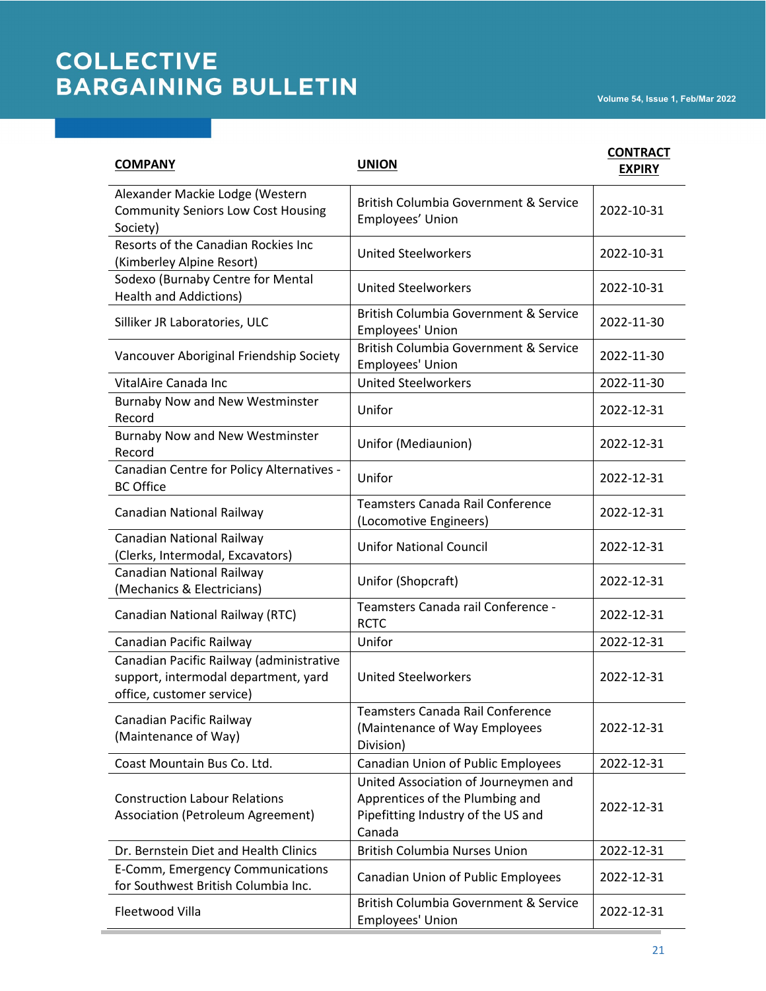| <b>COMPANY</b>                                                                                                | <b>UNION</b>                                                                                                            | <b>CONTRACT</b><br><b>EXPIRY</b> |
|---------------------------------------------------------------------------------------------------------------|-------------------------------------------------------------------------------------------------------------------------|----------------------------------|
| Alexander Mackie Lodge (Western<br><b>Community Seniors Low Cost Housing</b><br>Society)                      | British Columbia Government & Service<br>Employees' Union                                                               | 2022-10-31                       |
| Resorts of the Canadian Rockies Inc<br>(Kimberley Alpine Resort)                                              | <b>United Steelworkers</b>                                                                                              | 2022-10-31                       |
| Sodexo (Burnaby Centre for Mental<br><b>Health and Addictions)</b>                                            | <b>United Steelworkers</b>                                                                                              | 2022-10-31                       |
| Silliker JR Laboratories, ULC                                                                                 | British Columbia Government & Service<br>Employees' Union                                                               | 2022-11-30                       |
| Vancouver Aboriginal Friendship Society                                                                       | British Columbia Government & Service<br>Employees' Union                                                               | 2022-11-30                       |
| VitalAire Canada Inc                                                                                          | <b>United Steelworkers</b>                                                                                              | 2022-11-30                       |
| <b>Burnaby Now and New Westminster</b><br>Record                                                              | Unifor                                                                                                                  | 2022-12-31                       |
| <b>Burnaby Now and New Westminster</b><br>Record                                                              | Unifor (Mediaunion)                                                                                                     | 2022-12-31                       |
| Canadian Centre for Policy Alternatives -<br><b>BC Office</b>                                                 | Unifor                                                                                                                  | 2022-12-31                       |
| Canadian National Railway                                                                                     | <b>Teamsters Canada Rail Conference</b><br>(Locomotive Engineers)                                                       | 2022-12-31                       |
| Canadian National Railway<br>(Clerks, Intermodal, Excavators)                                                 | <b>Unifor National Council</b>                                                                                          | 2022-12-31                       |
| Canadian National Railway<br>(Mechanics & Electricians)                                                       | Unifor (Shopcraft)                                                                                                      | 2022-12-31                       |
| Canadian National Railway (RTC)                                                                               | Teamsters Canada rail Conference -<br><b>RCTC</b>                                                                       | 2022-12-31                       |
| Canadian Pacific Railway                                                                                      | Unifor                                                                                                                  | 2022-12-31                       |
| Canadian Pacific Railway (administrative<br>support, intermodal department, yard<br>office, customer service) | <b>United Steelworkers</b>                                                                                              | 2022-12-31                       |
| Canadian Pacific Railway<br>(Maintenance of Way)                                                              | Teamsters Canada Rail Conference<br>(Maintenance of Way Employees<br>Division)                                          | 2022-12-31                       |
| Coast Mountain Bus Co. Ltd.                                                                                   | Canadian Union of Public Employees                                                                                      | 2022-12-31                       |
| <b>Construction Labour Relations</b><br>Association (Petroleum Agreement)                                     | United Association of Journeymen and<br>Apprentices of the Plumbing and<br>Pipefitting Industry of the US and<br>Canada | 2022-12-31                       |
| Dr. Bernstein Diet and Health Clinics                                                                         | <b>British Columbia Nurses Union</b>                                                                                    | 2022-12-31                       |
| E-Comm, Emergency Communications<br>for Southwest British Columbia Inc.                                       | Canadian Union of Public Employees                                                                                      | 2022-12-31                       |
| Fleetwood Villa                                                                                               | British Columbia Government & Service<br>Employees' Union                                                               | 2022-12-31                       |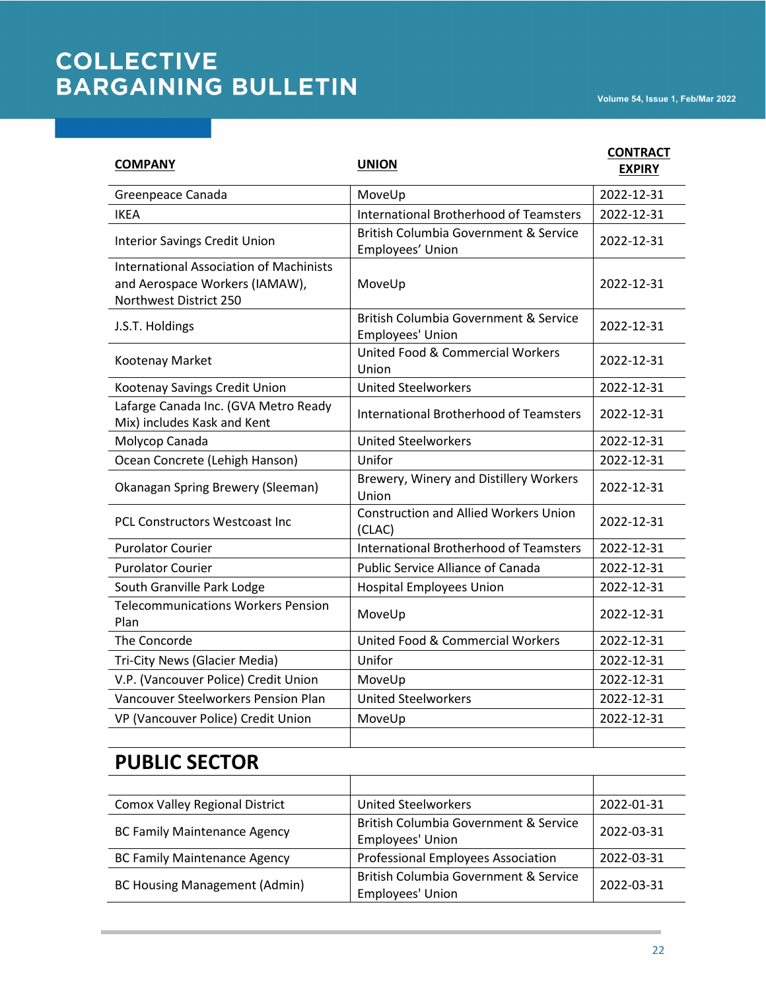| <b>COMPANY</b>                                                                                             | <b>UNION</b>                                                         | <b>CONTRACT</b><br><b>EXPIRY</b> |
|------------------------------------------------------------------------------------------------------------|----------------------------------------------------------------------|----------------------------------|
| Greenpeace Canada                                                                                          | MoveUp                                                               | 2022-12-31                       |
| <b>IKEA</b>                                                                                                | <b>International Brotherhood of Teamsters</b>                        | 2022-12-31                       |
| <b>Interior Savings Credit Union</b>                                                                       | <b>British Columbia Government &amp; Service</b><br>Employees' Union | 2022-12-31                       |
| <b>International Association of Machinists</b><br>and Aerospace Workers (IAMAW),<br>Northwest District 250 | MoveUp                                                               | 2022-12-31                       |
| J.S.T. Holdings                                                                                            | British Columbia Government & Service<br>Employees' Union            | 2022-12-31                       |
| Kootenay Market                                                                                            | United Food & Commercial Workers<br>Union                            | 2022-12-31                       |
| Kootenay Savings Credit Union                                                                              | <b>United Steelworkers</b>                                           | 2022-12-31                       |
| Lafarge Canada Inc. (GVA Metro Ready<br>Mix) includes Kask and Kent                                        | <b>International Brotherhood of Teamsters</b>                        | 2022-12-31                       |
| Molycop Canada                                                                                             | <b>United Steelworkers</b>                                           | 2022-12-31                       |
| Ocean Concrete (Lehigh Hanson)                                                                             | Unifor                                                               | 2022-12-31                       |
| Okanagan Spring Brewery (Sleeman)                                                                          | Brewery, Winery and Distillery Workers<br>Union                      | 2022-12-31                       |
| <b>PCL Constructors Westcoast Inc.</b>                                                                     | <b>Construction and Allied Workers Union</b><br>(CLAC)               | 2022-12-31                       |
| <b>Purolator Courier</b>                                                                                   | <b>International Brotherhood of Teamsters</b>                        | 2022-12-31                       |
| <b>Purolator Courier</b>                                                                                   | <b>Public Service Alliance of Canada</b>                             | 2022-12-31                       |
| South Granville Park Lodge                                                                                 | <b>Hospital Employees Union</b>                                      | 2022-12-31                       |
| <b>Telecommunications Workers Pension</b><br>Plan                                                          | MoveUp                                                               | 2022-12-31                       |
| The Concorde                                                                                               | <b>United Food &amp; Commercial Workers</b>                          | 2022-12-31                       |
| Tri-City News (Glacier Media)                                                                              | Unifor                                                               | 2022-12-31                       |
| V.P. (Vancouver Police) Credit Union                                                                       | MoveUp                                                               | 2022-12-31                       |
| Vancouver Steelworkers Pension Plan                                                                        | <b>United Steelworkers</b>                                           | 2022-12-31                       |
| VP (Vancouver Police) Credit Union                                                                         | MoveUp                                                               | 2022-12-31                       |

#### **PUBLIC SECTOR**

| <b>Comox Valley Regional District</b> | <b>United Steelworkers</b>                                           | 2022-01-31 |
|---------------------------------------|----------------------------------------------------------------------|------------|
| <b>BC Family Maintenance Agency</b>   | British Columbia Government & Service<br>Employees' Union            | 2022-03-31 |
| <b>BC Family Maintenance Agency</b>   | Professional Employees Association                                   | 2022-03-31 |
| <b>BC Housing Management (Admin)</b>  | <b>British Columbia Government &amp; Service</b><br>Employees' Union | 2022-03-31 |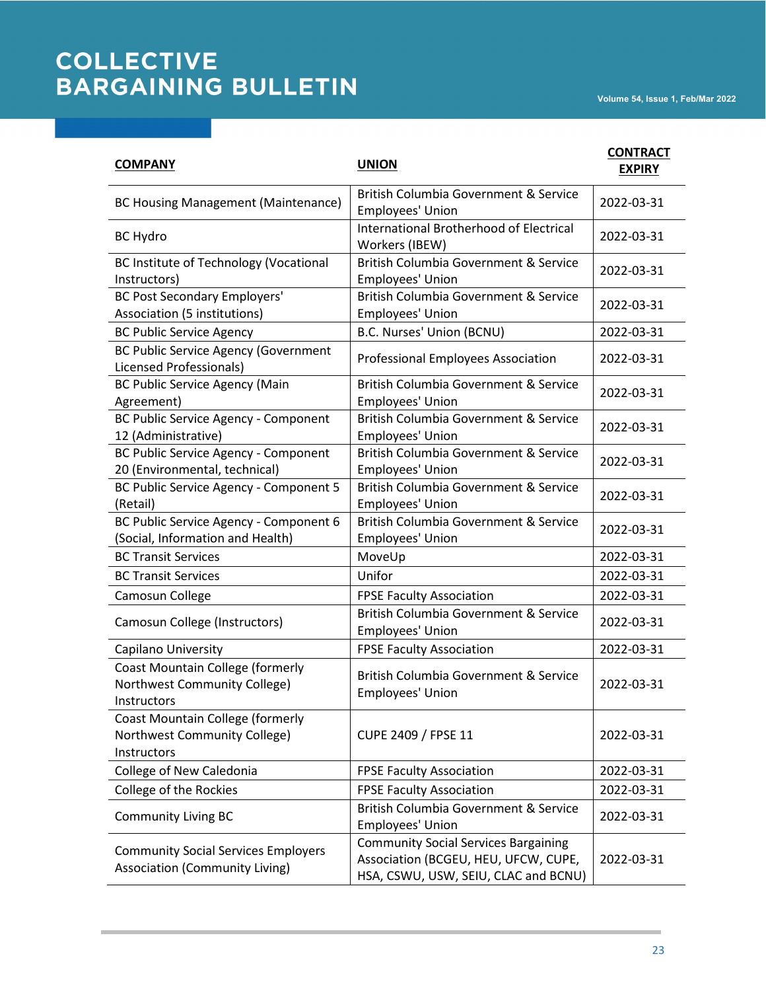| <b>COMPANY</b>                                                                         | <b>UNION</b>                                                                                                                | <b>CONTRACT</b><br><b>EXPIRY</b> |
|----------------------------------------------------------------------------------------|-----------------------------------------------------------------------------------------------------------------------------|----------------------------------|
| <b>BC Housing Management (Maintenance)</b>                                             | British Columbia Government & Service<br>Employees' Union                                                                   | 2022-03-31                       |
| <b>BC Hydro</b>                                                                        | <b>International Brotherhood of Electrical</b><br>Workers (IBEW)                                                            | 2022-03-31                       |
| <b>BC Institute of Technology (Vocational</b><br>Instructors)                          | British Columbia Government & Service<br>Employees' Union                                                                   | 2022-03-31                       |
| <b>BC Post Secondary Employers'</b><br>Association (5 institutions)                    | British Columbia Government & Service<br>Employees' Union                                                                   | 2022-03-31                       |
| <b>BC Public Service Agency</b>                                                        | B.C. Nurses' Union (BCNU)                                                                                                   | 2022-03-31                       |
| <b>BC Public Service Agency (Government</b><br>Licensed Professionals)                 | <b>Professional Employees Association</b>                                                                                   | 2022-03-31                       |
| BC Public Service Agency (Main<br>Agreement)                                           | British Columbia Government & Service<br>Employees' Union                                                                   | 2022-03-31                       |
| BC Public Service Agency - Component<br>12 (Administrative)                            | British Columbia Government & Service<br>Employees' Union                                                                   | 2022-03-31                       |
| BC Public Service Agency - Component<br>20 (Environmental, technical)                  | British Columbia Government & Service<br>Employees' Union                                                                   | 2022-03-31                       |
| BC Public Service Agency - Component 5<br>(Retail)                                     | British Columbia Government & Service<br>Employees' Union                                                                   | 2022-03-31                       |
| BC Public Service Agency - Component 6<br>(Social, Information and Health)             | British Columbia Government & Service<br>Employees' Union                                                                   | 2022-03-31                       |
| <b>BC Transit Services</b>                                                             | MoveUp                                                                                                                      | 2022-03-31                       |
| <b>BC Transit Services</b>                                                             | Unifor                                                                                                                      | 2022-03-31                       |
| Camosun College                                                                        | <b>FPSE Faculty Association</b>                                                                                             | 2022-03-31                       |
| Camosun College (Instructors)                                                          | British Columbia Government & Service<br>Employees' Union                                                                   | 2022-03-31                       |
| Capilano University                                                                    | <b>FPSE Faculty Association</b>                                                                                             | 2022-03-31                       |
| <b>Coast Mountain College (formerly</b><br>Northwest Community College)<br>Instructors | British Columbia Government & Service<br>Employees' Union                                                                   | 2022-03-31                       |
| <b>Coast Mountain College (formerly</b><br>Northwest Community College)<br>Instructors | CUPE 2409 / FPSE 11                                                                                                         | 2022-03-31                       |
| College of New Caledonia                                                               | <b>FPSE Faculty Association</b>                                                                                             | 2022-03-31                       |
| College of the Rockies                                                                 | <b>FPSE Faculty Association</b>                                                                                             | 2022-03-31                       |
| <b>Community Living BC</b>                                                             | British Columbia Government & Service<br>Employees' Union                                                                   | 2022-03-31                       |
| <b>Community Social Services Employers</b><br><b>Association (Community Living)</b>    | <b>Community Social Services Bargaining</b><br>Association (BCGEU, HEU, UFCW, CUPE,<br>HSA, CSWU, USW, SEIU, CLAC and BCNU) | 2022-03-31                       |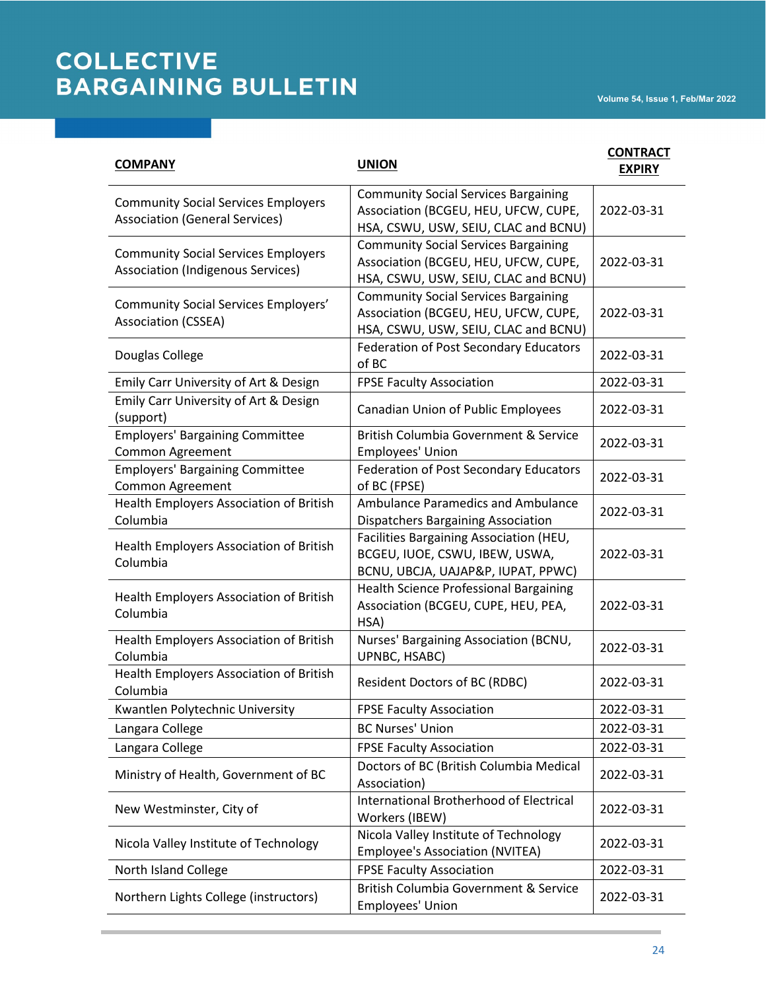| <b>COMPANY</b>                                                                         | <b>UNION</b>                                                                                                                | <b>CONTRACT</b><br><b>EXPIRY</b> |
|----------------------------------------------------------------------------------------|-----------------------------------------------------------------------------------------------------------------------------|----------------------------------|
| <b>Community Social Services Employers</b><br><b>Association (General Services)</b>    | <b>Community Social Services Bargaining</b><br>Association (BCGEU, HEU, UFCW, CUPE,<br>HSA, CSWU, USW, SEIU, CLAC and BCNU) | 2022-03-31                       |
| <b>Community Social Services Employers</b><br><b>Association (Indigenous Services)</b> | <b>Community Social Services Bargaining</b><br>Association (BCGEU, HEU, UFCW, CUPE,<br>HSA, CSWU, USW, SEIU, CLAC and BCNU) | 2022-03-31                       |
| <b>Community Social Services Employers'</b><br>Association (CSSEA)                     | <b>Community Social Services Bargaining</b><br>Association (BCGEU, HEU, UFCW, CUPE,<br>HSA, CSWU, USW, SEIU, CLAC and BCNU) | 2022-03-31                       |
| Douglas College                                                                        | <b>Federation of Post Secondary Educators</b><br>of BC                                                                      | 2022-03-31                       |
| Emily Carr University of Art & Design                                                  | <b>FPSE Faculty Association</b>                                                                                             | 2022-03-31                       |
| Emily Carr University of Art & Design<br>(support)                                     | Canadian Union of Public Employees                                                                                          | 2022-03-31                       |
| <b>Employers' Bargaining Committee</b><br>Common Agreement                             | British Columbia Government & Service<br>Employees' Union                                                                   | 2022-03-31                       |
| <b>Employers' Bargaining Committee</b><br>Common Agreement                             | <b>Federation of Post Secondary Educators</b><br>of BC (FPSE)                                                               | 2022-03-31                       |
| Health Employers Association of British<br>Columbia                                    | <b>Ambulance Paramedics and Ambulance</b><br><b>Dispatchers Bargaining Association</b>                                      | 2022-03-31                       |
| Health Employers Association of British<br>Columbia                                    | Facilities Bargaining Association (HEU,<br>BCGEU, IUOE, CSWU, IBEW, USWA,<br>BCNU, UBCJA, UAJAP&P, IUPAT, PPWC)             | 2022-03-31                       |
| Health Employers Association of British<br>Columbia                                    | <b>Health Science Professional Bargaining</b><br>Association (BCGEU, CUPE, HEU, PEA,<br>HSA)                                | 2022-03-31                       |
| Health Employers Association of British<br>Columbia                                    | Nurses' Bargaining Association (BCNU,<br>UPNBC, HSABC)                                                                      | 2022-03-31                       |
| Health Employers Association of British<br>Columbia                                    | <b>Resident Doctors of BC (RDBC)</b>                                                                                        | 2022-03-31                       |
| Kwantlen Polytechnic University                                                        | <b>FPSE Faculty Association</b>                                                                                             | 2022-03-31                       |
| Langara College                                                                        | <b>BC Nurses' Union</b>                                                                                                     | 2022-03-31                       |
| Langara College                                                                        | <b>FPSE Faculty Association</b>                                                                                             | 2022-03-31                       |
| Ministry of Health, Government of BC                                                   | Doctors of BC (British Columbia Medical<br>Association)                                                                     | 2022-03-31                       |
| New Westminster, City of                                                               | <b>International Brotherhood of Electrical</b><br>Workers (IBEW)                                                            | 2022-03-31                       |
| Nicola Valley Institute of Technology                                                  | Nicola Valley Institute of Technology<br><b>Employee's Association (NVITEA)</b>                                             | 2022-03-31                       |
| North Island College                                                                   | <b>FPSE Faculty Association</b>                                                                                             | 2022-03-31                       |
| Northern Lights College (instructors)                                                  | <b>British Columbia Government &amp; Service</b><br>Employees' Union                                                        | 2022-03-31                       |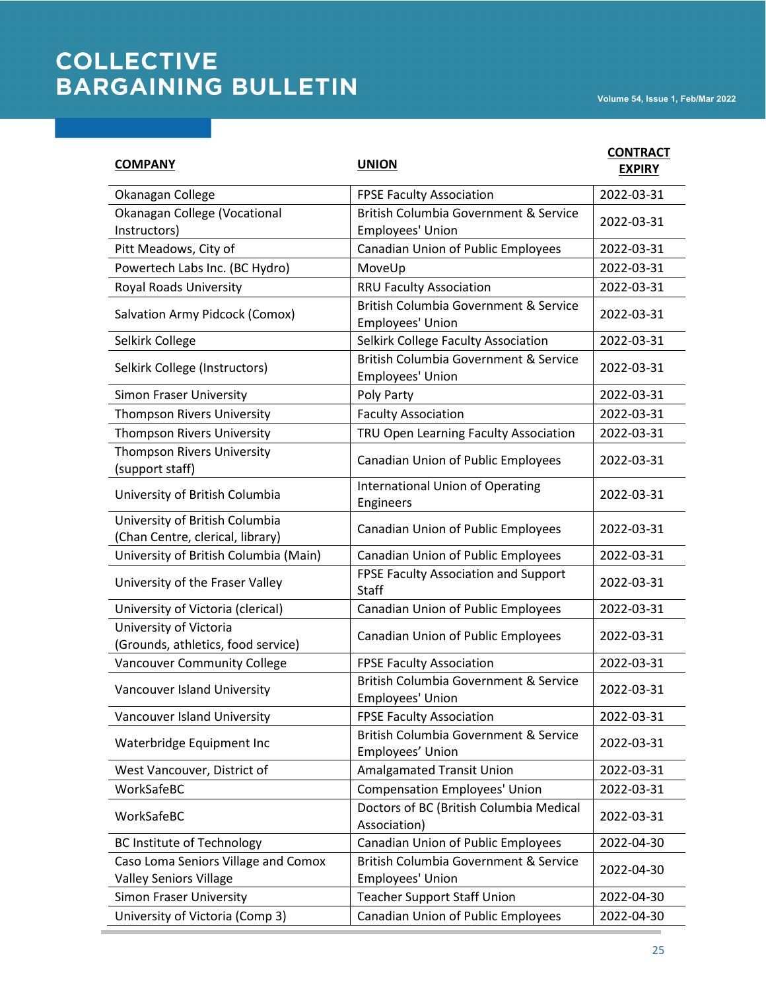| <b>COMPANY</b>                                                       | <b>UNION</b>                                                         | <b>CONTRACT</b><br><b>EXPIRY</b> |
|----------------------------------------------------------------------|----------------------------------------------------------------------|----------------------------------|
| Okanagan College                                                     | <b>FPSE Faculty Association</b>                                      | 2022-03-31                       |
| Okanagan College (Vocational<br>Instructors)                         | British Columbia Government & Service<br>Employees' Union            | 2022-03-31                       |
| Pitt Meadows, City of                                                | Canadian Union of Public Employees                                   | 2022-03-31                       |
| Powertech Labs Inc. (BC Hydro)                                       | MoveUp                                                               | 2022-03-31                       |
| Royal Roads University                                               | <b>RRU Faculty Association</b>                                       | 2022-03-31                       |
| Salvation Army Pidcock (Comox)                                       | British Columbia Government & Service<br>Employees' Union            | 2022-03-31                       |
| Selkirk College                                                      | Selkirk College Faculty Association                                  | 2022-03-31                       |
| Selkirk College (Instructors)                                        | British Columbia Government & Service<br>Employees' Union            | 2022-03-31                       |
| Simon Fraser University                                              | Poly Party                                                           | 2022-03-31                       |
| <b>Thompson Rivers University</b>                                    | <b>Faculty Association</b>                                           | 2022-03-31                       |
| Thompson Rivers University                                           | TRU Open Learning Faculty Association                                | 2022-03-31                       |
| <b>Thompson Rivers University</b><br>(support staff)                 | Canadian Union of Public Employees                                   | 2022-03-31                       |
| University of British Columbia                                       | <b>International Union of Operating</b><br>Engineers                 | 2022-03-31                       |
| University of British Columbia<br>(Chan Centre, clerical, library)   | Canadian Union of Public Employees                                   | 2022-03-31                       |
| University of British Columbia (Main)                                | Canadian Union of Public Employees                                   | 2022-03-31                       |
| University of the Fraser Valley                                      | FPSE Faculty Association and Support<br>Staff                        | 2022-03-31                       |
| University of Victoria (clerical)                                    | Canadian Union of Public Employees                                   | 2022-03-31                       |
| University of Victoria<br>(Grounds, athletics, food service)         | Canadian Union of Public Employees                                   | 2022-03-31                       |
| Vancouver Community College                                          | <b>FPSE Faculty Association</b>                                      | 2022-03-31                       |
| Vancouver Island University                                          | British Columbia Government & Service<br>Employees' Union            | 2022-03-31                       |
| Vancouver Island University                                          | <b>FPSE Faculty Association</b>                                      | 2022-03-31                       |
| Waterbridge Equipment Inc                                            | <b>British Columbia Government &amp; Service</b><br>Employees' Union | 2022-03-31                       |
| West Vancouver, District of                                          | <b>Amalgamated Transit Union</b>                                     | 2022-03-31                       |
| WorkSafeBC                                                           | <b>Compensation Employees' Union</b>                                 | 2022-03-31                       |
| WorkSafeBC                                                           | Doctors of BC (British Columbia Medical<br>Association)              | 2022-03-31                       |
| <b>BC Institute of Technology</b>                                    | Canadian Union of Public Employees                                   | 2022-04-30                       |
| Caso Loma Seniors Village and Comox<br><b>Valley Seniors Village</b> | British Columbia Government & Service<br>Employees' Union            | 2022-04-30                       |
| Simon Fraser University                                              | <b>Teacher Support Staff Union</b>                                   | 2022-04-30                       |
| University of Victoria (Comp 3)                                      | Canadian Union of Public Employees                                   | 2022-04-30                       |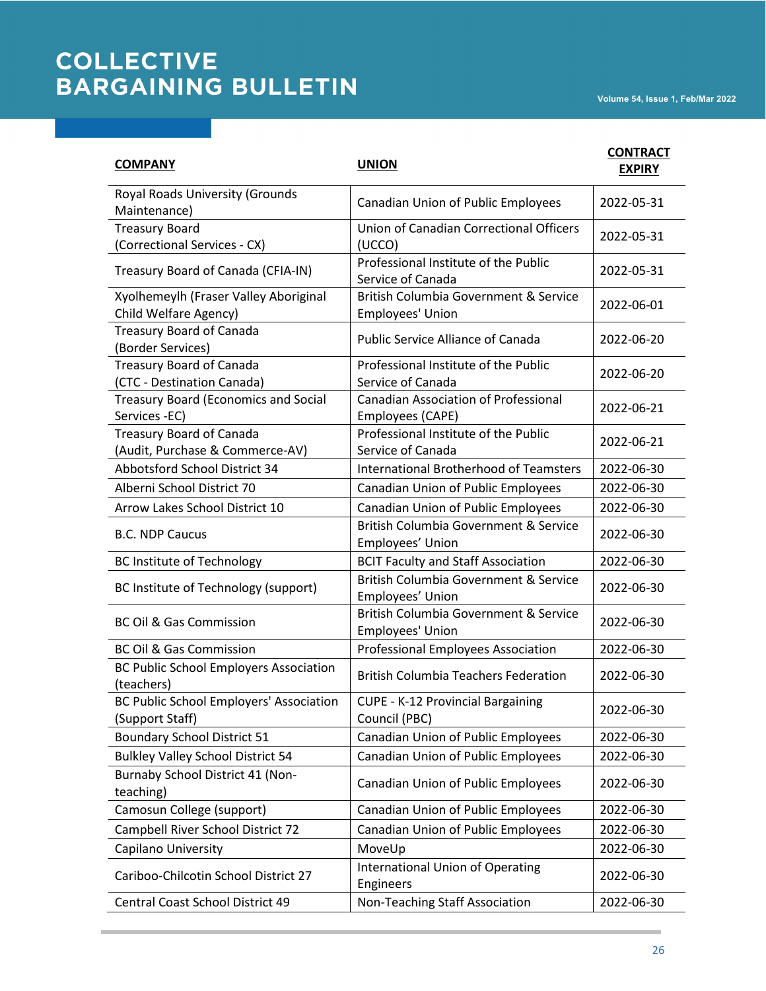| <b>COMPANY</b>                                                     | <b>UNION</b>                                                         | <b>CONTRACT</b><br><b>EXPIRY</b> |
|--------------------------------------------------------------------|----------------------------------------------------------------------|----------------------------------|
| Royal Roads University (Grounds<br>Maintenance)                    | Canadian Union of Public Employees                                   | 2022-05-31                       |
| <b>Treasury Board</b><br>(Correctional Services - CX)              | <b>Union of Canadian Correctional Officers</b><br>(UCCO)             | 2022-05-31                       |
| Treasury Board of Canada (CFIA-IN)                                 | Professional Institute of the Public<br>Service of Canada            | 2022-05-31                       |
| Xyolhemeylh (Fraser Valley Aboriginal<br>Child Welfare Agency)     | British Columbia Government & Service<br>Employees' Union            | 2022-06-01                       |
| <b>Treasury Board of Canada</b><br>(Border Services)               | <b>Public Service Alliance of Canada</b>                             | 2022-06-20                       |
| <b>Treasury Board of Canada</b><br>(CTC - Destination Canada)      | Professional Institute of the Public<br>Service of Canada            | 2022-06-20                       |
| <b>Treasury Board (Economics and Social</b><br>Services -EC)       | <b>Canadian Association of Professional</b><br>Employees (CAPE)      | 2022-06-21                       |
| <b>Treasury Board of Canada</b><br>(Audit, Purchase & Commerce-AV) | Professional Institute of the Public<br>Service of Canada            | 2022-06-21                       |
| Abbotsford School District 34                                      | <b>International Brotherhood of Teamsters</b>                        | 2022-06-30                       |
| Alberni School District 70                                         | Canadian Union of Public Employees                                   | 2022-06-30                       |
| Arrow Lakes School District 10                                     | Canadian Union of Public Employees                                   | 2022-06-30                       |
| <b>B.C. NDP Caucus</b>                                             | British Columbia Government & Service<br>Employees' Union            | 2022-06-30                       |
| <b>BC Institute of Technology</b>                                  | <b>BCIT Faculty and Staff Association</b>                            | 2022-06-30                       |
| BC Institute of Technology (support)                               | <b>British Columbia Government &amp; Service</b><br>Employees' Union | 2022-06-30                       |
| <b>BC Oil &amp; Gas Commission</b>                                 | British Columbia Government & Service<br>Employees' Union            | 2022-06-30                       |
| <b>BC Oil &amp; Gas Commission</b>                                 | <b>Professional Employees Association</b>                            | 2022-06-30                       |
| <b>BC Public School Employers Association</b><br>(teachers)        | <b>British Columbia Teachers Federation</b>                          | 2022-06-30                       |
| <b>BC Public School Employers' Association</b><br>(Support Staff)  | <b>CUPE - K-12 Provincial Bargaining</b><br>Council (PBC)            | 2022-06-30                       |
| <b>Boundary School District 51</b>                                 | Canadian Union of Public Employees                                   | 2022-06-30                       |
| <b>Bulkley Valley School District 54</b>                           | Canadian Union of Public Employees                                   | 2022-06-30                       |
| Burnaby School District 41 (Non-<br>teaching)                      | Canadian Union of Public Employees                                   | 2022-06-30                       |
| Camosun College (support)                                          | Canadian Union of Public Employees                                   | 2022-06-30                       |
| Campbell River School District 72                                  | Canadian Union of Public Employees                                   | 2022-06-30                       |
| Capilano University                                                | MoveUp                                                               | 2022-06-30                       |
| Cariboo-Chilcotin School District 27                               | <b>International Union of Operating</b><br>Engineers                 | 2022-06-30                       |
| Central Coast School District 49                                   | Non-Teaching Staff Association                                       | 2022-06-30                       |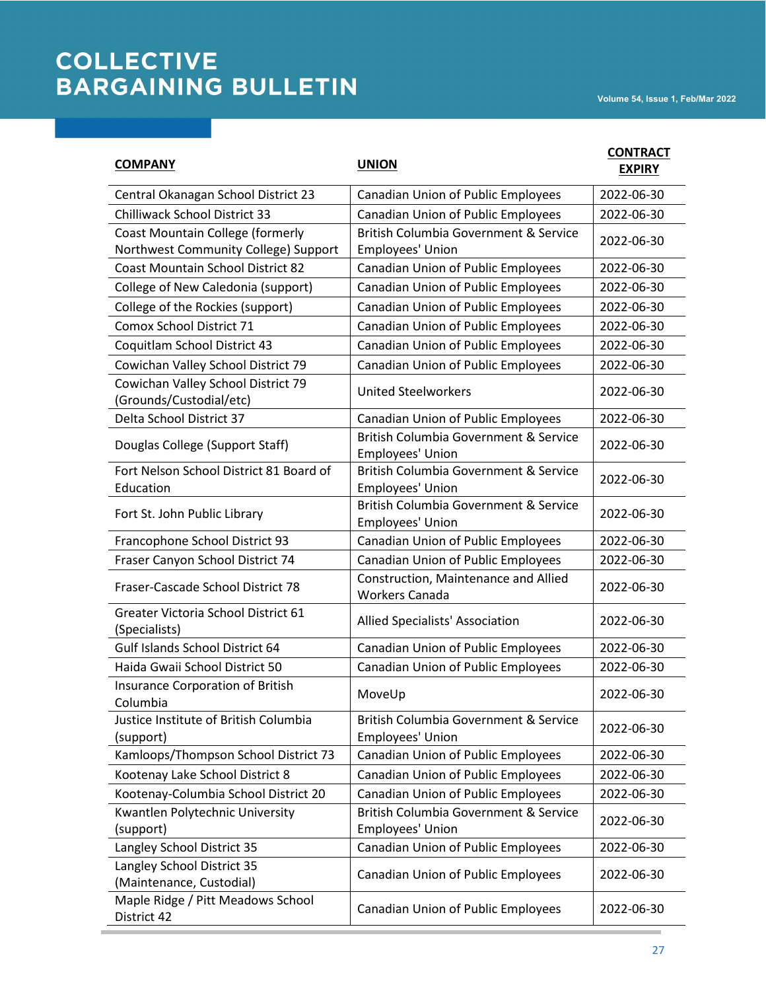| <b>COMPANY</b>                                                                  | <b>UNION</b>                                                  | <b>CONTRACT</b><br><b>EXPIRY</b> |
|---------------------------------------------------------------------------------|---------------------------------------------------------------|----------------------------------|
| Central Okanagan School District 23                                             | <b>Canadian Union of Public Employees</b>                     | 2022-06-30                       |
| <b>Chilliwack School District 33</b>                                            | <b>Canadian Union of Public Employees</b>                     | 2022-06-30                       |
| <b>Coast Mountain College (formerly</b><br>Northwest Community College) Support | British Columbia Government & Service<br>Employees' Union     | 2022-06-30                       |
| <b>Coast Mountain School District 82</b>                                        | Canadian Union of Public Employees                            | 2022-06-30                       |
| College of New Caledonia (support)                                              | <b>Canadian Union of Public Employees</b>                     | 2022-06-30                       |
| College of the Rockies (support)                                                | <b>Canadian Union of Public Employees</b>                     | 2022-06-30                       |
| <b>Comox School District 71</b>                                                 | Canadian Union of Public Employees                            | 2022-06-30                       |
| Coquitlam School District 43                                                    | Canadian Union of Public Employees                            | 2022-06-30                       |
| Cowichan Valley School District 79                                              | Canadian Union of Public Employees                            | 2022-06-30                       |
| Cowichan Valley School District 79<br>(Grounds/Custodial/etc)                   | <b>United Steelworkers</b>                                    | 2022-06-30                       |
| Delta School District 37                                                        | Canadian Union of Public Employees                            | 2022-06-30                       |
| Douglas College (Support Staff)                                                 | British Columbia Government & Service<br>Employees' Union     | 2022-06-30                       |
| Fort Nelson School District 81 Board of<br>Education                            | British Columbia Government & Service<br>Employees' Union     | 2022-06-30                       |
| Fort St. John Public Library                                                    | British Columbia Government & Service<br>Employees' Union     | 2022-06-30                       |
| Francophone School District 93                                                  | Canadian Union of Public Employees                            | 2022-06-30                       |
| Fraser Canyon School District 74                                                | Canadian Union of Public Employees                            | 2022-06-30                       |
| Fraser-Cascade School District 78                                               | Construction, Maintenance and Allied<br><b>Workers Canada</b> | 2022-06-30                       |
| Greater Victoria School District 61<br>(Specialists)                            | Allied Specialists' Association                               | 2022-06-30                       |
| <b>Gulf Islands School District 64</b>                                          | Canadian Union of Public Employees                            | 2022-06-30                       |
| Haida Gwaii School District 50                                                  | Canadian Union of Public Employees                            | 2022-06-30                       |
| Insurance Corporation of British<br>Columbia                                    | MoveUp                                                        | 2022-06-30                       |
| Justice Institute of British Columbia<br>(support)                              | British Columbia Government & Service<br>Employees' Union     | 2022-06-30                       |
| Kamloops/Thompson School District 73                                            | Canadian Union of Public Employees                            | 2022-06-30                       |
| Kootenay Lake School District 8                                                 | Canadian Union of Public Employees                            | 2022-06-30                       |
| Kootenay-Columbia School District 20                                            | <b>Canadian Union of Public Employees</b>                     | 2022-06-30                       |
| Kwantlen Polytechnic University<br>(support)                                    | British Columbia Government & Service<br>Employees' Union     | 2022-06-30                       |
| Langley School District 35                                                      | Canadian Union of Public Employees                            | 2022-06-30                       |
| Langley School District 35<br>(Maintenance, Custodial)                          | Canadian Union of Public Employees                            | 2022-06-30                       |
| Maple Ridge / Pitt Meadows School<br>District 42                                | <b>Canadian Union of Public Employees</b>                     | 2022-06-30                       |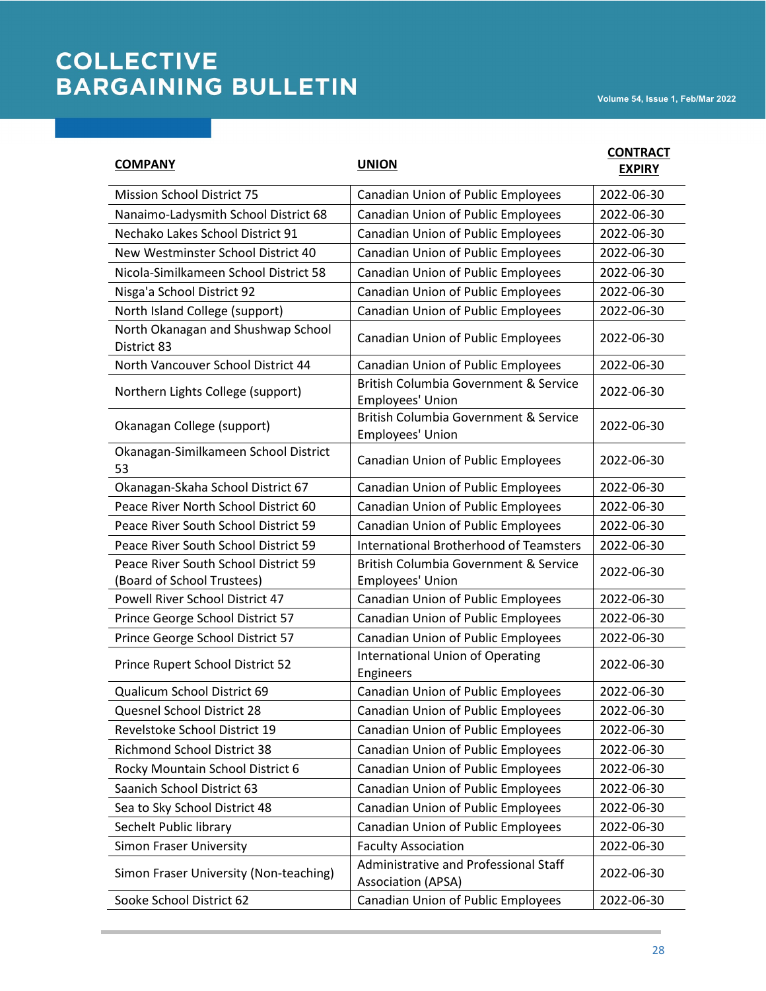| <b>COMPANY</b>                                                     | <b>UNION</b>                                                       | <b>CONTRACT</b><br><b>EXPIRY</b> |
|--------------------------------------------------------------------|--------------------------------------------------------------------|----------------------------------|
| <b>Mission School District 75</b>                                  | <b>Canadian Union of Public Employees</b>                          | 2022-06-30                       |
| Nanaimo-Ladysmith School District 68                               | Canadian Union of Public Employees                                 | 2022-06-30                       |
| Nechako Lakes School District 91                                   | Canadian Union of Public Employees                                 | 2022-06-30                       |
| New Westminster School District 40                                 | Canadian Union of Public Employees                                 | 2022-06-30                       |
| Nicola-Similkameen School District 58                              | <b>Canadian Union of Public Employees</b>                          | 2022-06-30                       |
| Nisga'a School District 92                                         | Canadian Union of Public Employees                                 | 2022-06-30                       |
| North Island College (support)                                     | Canadian Union of Public Employees                                 | 2022-06-30                       |
| North Okanagan and Shushwap School<br>District 83                  | Canadian Union of Public Employees                                 | 2022-06-30                       |
| North Vancouver School District 44                                 | Canadian Union of Public Employees                                 | 2022-06-30                       |
| Northern Lights College (support)                                  | British Columbia Government & Service<br>Employees' Union          | 2022-06-30                       |
| Okanagan College (support)                                         | British Columbia Government & Service<br>Employees' Union          | 2022-06-30                       |
| Okanagan-Similkameen School District<br>53                         | Canadian Union of Public Employees                                 | 2022-06-30                       |
| Okanagan-Skaha School District 67                                  | Canadian Union of Public Employees                                 | 2022-06-30                       |
| Peace River North School District 60                               | Canadian Union of Public Employees                                 | 2022-06-30                       |
| Peace River South School District 59                               | Canadian Union of Public Employees                                 | 2022-06-30                       |
| Peace River South School District 59                               | <b>International Brotherhood of Teamsters</b>                      | 2022-06-30                       |
| Peace River South School District 59<br>(Board of School Trustees) | British Columbia Government & Service<br>Employees' Union          | 2022-06-30                       |
| Powell River School District 47                                    | Canadian Union of Public Employees                                 | 2022-06-30                       |
| Prince George School District 57                                   | <b>Canadian Union of Public Employees</b>                          | 2022-06-30                       |
| Prince George School District 57                                   | <b>Canadian Union of Public Employees</b>                          | 2022-06-30                       |
| Prince Rupert School District 52                                   | <b>International Union of Operating</b><br>Engineers               | 2022-06-30                       |
| Qualicum School District 69                                        | Canadian Union of Public Employees                                 | 2022-06-30                       |
| Quesnel School District 28                                         | Canadian Union of Public Employees                                 | 2022-06-30                       |
| Revelstoke School District 19                                      | Canadian Union of Public Employees                                 | 2022-06-30                       |
| <b>Richmond School District 38</b>                                 | Canadian Union of Public Employees                                 | 2022-06-30                       |
| Rocky Mountain School District 6                                   | Canadian Union of Public Employees                                 | 2022-06-30                       |
| Saanich School District 63                                         | Canadian Union of Public Employees                                 | 2022-06-30                       |
| Sea to Sky School District 48                                      | Canadian Union of Public Employees                                 | 2022-06-30                       |
| Sechelt Public library                                             | Canadian Union of Public Employees                                 | 2022-06-30                       |
| Simon Fraser University                                            | <b>Faculty Association</b>                                         | 2022-06-30                       |
| Simon Fraser University (Non-teaching)                             | Administrative and Professional Staff<br><b>Association (APSA)</b> | 2022-06-30                       |
| Sooke School District 62                                           | Canadian Union of Public Employees                                 | 2022-06-30                       |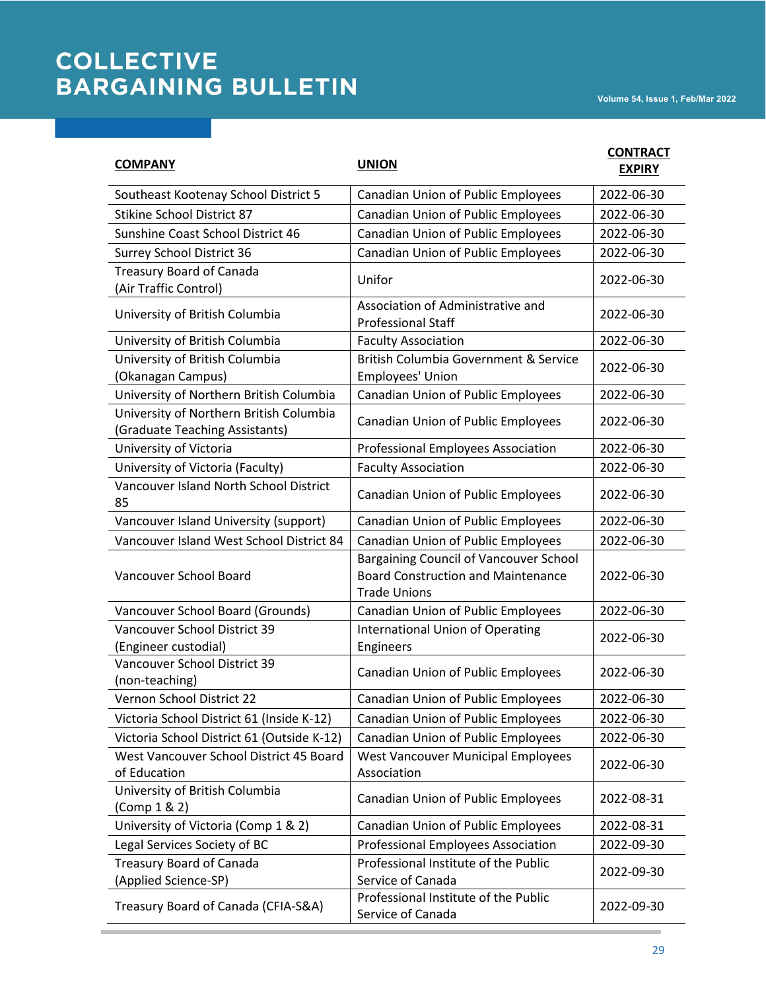| <b>COMPANY</b>                                                            | <b>UNION</b>                                                                                               | <b>CONTRACT</b><br><b>EXPIRY</b> |
|---------------------------------------------------------------------------|------------------------------------------------------------------------------------------------------------|----------------------------------|
| Southeast Kootenay School District 5                                      | Canadian Union of Public Employees                                                                         | 2022-06-30                       |
| <b>Stikine School District 87</b>                                         | Canadian Union of Public Employees                                                                         | 2022-06-30                       |
| Sunshine Coast School District 46                                         | Canadian Union of Public Employees                                                                         | 2022-06-30                       |
| <b>Surrey School District 36</b>                                          | Canadian Union of Public Employees                                                                         | 2022-06-30                       |
| <b>Treasury Board of Canada</b><br>(Air Traffic Control)                  | Unifor                                                                                                     | 2022-06-30                       |
| University of British Columbia                                            | Association of Administrative and<br><b>Professional Staff</b>                                             | 2022-06-30                       |
| University of British Columbia                                            | <b>Faculty Association</b>                                                                                 | 2022-06-30                       |
| University of British Columbia<br>(Okanagan Campus)                       | British Columbia Government & Service<br>Employees' Union                                                  | 2022-06-30                       |
| University of Northern British Columbia                                   | Canadian Union of Public Employees                                                                         | 2022-06-30                       |
| University of Northern British Columbia<br>(Graduate Teaching Assistants) | Canadian Union of Public Employees                                                                         | 2022-06-30                       |
| University of Victoria                                                    | Professional Employees Association                                                                         | 2022-06-30                       |
| University of Victoria (Faculty)                                          | <b>Faculty Association</b>                                                                                 | 2022-06-30                       |
| Vancouver Island North School District<br>85                              | Canadian Union of Public Employees                                                                         | 2022-06-30                       |
| Vancouver Island University (support)                                     | Canadian Union of Public Employees                                                                         | 2022-06-30                       |
| Vancouver Island West School District 84                                  | Canadian Union of Public Employees                                                                         | 2022-06-30                       |
| Vancouver School Board                                                    | Bargaining Council of Vancouver School<br><b>Board Construction and Maintenance</b><br><b>Trade Unions</b> | 2022-06-30                       |
| Vancouver School Board (Grounds)                                          | Canadian Union of Public Employees                                                                         | 2022-06-30                       |
| Vancouver School District 39<br>(Engineer custodial)                      | <b>International Union of Operating</b><br>Engineers                                                       | 2022-06-30                       |
| Vancouver School District 39<br>(non-teaching)                            | <b>Canadian Union of Public Employees</b>                                                                  | 2022-06-30                       |
| Vernon School District 22                                                 | <b>Canadian Union of Public Employees</b>                                                                  | 2022-06-30                       |
| Victoria School District 61 (Inside K-12)                                 | Canadian Union of Public Employees                                                                         | 2022-06-30                       |
| Victoria School District 61 (Outside K-12)                                | Canadian Union of Public Employees                                                                         | 2022-06-30                       |
| West Vancouver School District 45 Board<br>of Education                   | <b>West Vancouver Municipal Employees</b><br>Association                                                   | 2022-06-30                       |
| University of British Columbia<br>(Comp 1 & 2)                            | Canadian Union of Public Employees                                                                         | 2022-08-31                       |
| University of Victoria (Comp 1 & 2)                                       | Canadian Union of Public Employees                                                                         | 2022-08-31                       |
| Legal Services Society of BC                                              | <b>Professional Employees Association</b>                                                                  | 2022-09-30                       |
| <b>Treasury Board of Canada</b><br>(Applied Science-SP)                   | Professional Institute of the Public<br>Service of Canada                                                  | 2022-09-30                       |
| Treasury Board of Canada (CFIA-S&A)                                       | Professional Institute of the Public<br>Service of Canada                                                  | 2022-09-30                       |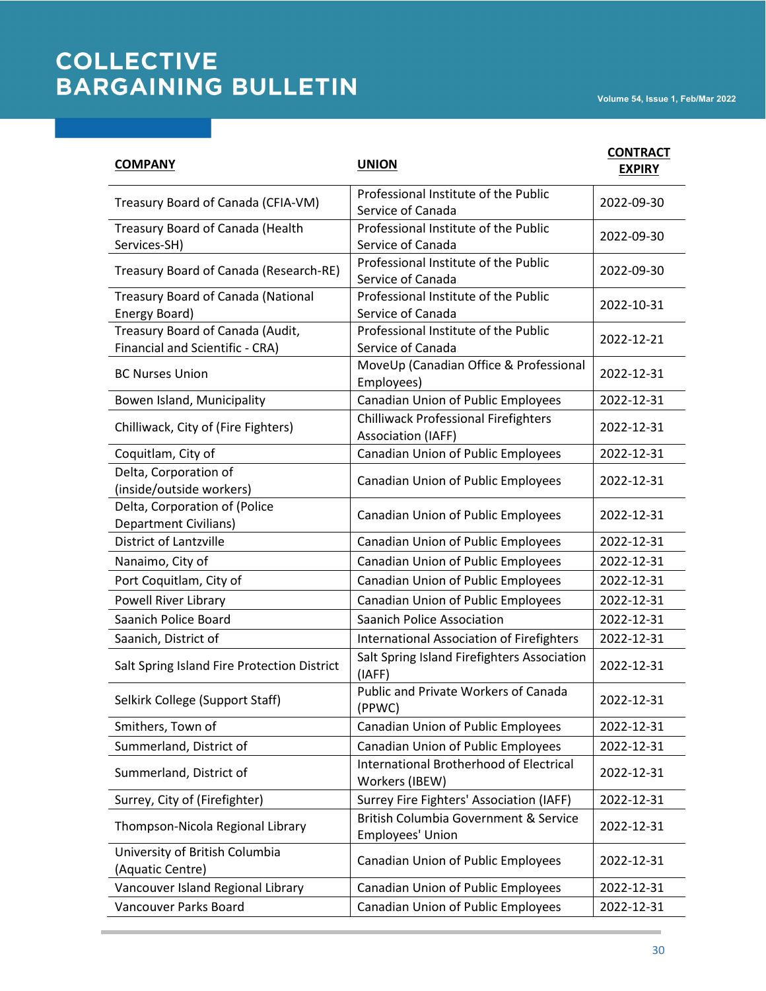| <b>COMPANY</b>                                                      | <b>UNION</b>                                                      | <b>CONTRACT</b><br><b>EXPIRY</b> |
|---------------------------------------------------------------------|-------------------------------------------------------------------|----------------------------------|
| Treasury Board of Canada (CFIA-VM)                                  | Professional Institute of the Public<br>Service of Canada         | 2022-09-30                       |
| Treasury Board of Canada (Health<br>Services-SH)                    | Professional Institute of the Public<br>Service of Canada         | 2022-09-30                       |
| Treasury Board of Canada (Research-RE)                              | Professional Institute of the Public<br>Service of Canada         | 2022-09-30                       |
| Treasury Board of Canada (National<br>Energy Board)                 | Professional Institute of the Public<br>Service of Canada         | 2022-10-31                       |
| Treasury Board of Canada (Audit,<br>Financial and Scientific - CRA) | Professional Institute of the Public<br>Service of Canada         | 2022-12-21                       |
| <b>BC Nurses Union</b>                                              | MoveUp (Canadian Office & Professional<br>Employees)              | 2022-12-31                       |
| Bowen Island, Municipality                                          | Canadian Union of Public Employees                                | 2022-12-31                       |
| Chilliwack, City of (Fire Fighters)                                 | <b>Chilliwack Professional Firefighters</b><br>Association (IAFF) | 2022-12-31                       |
| Coquitlam, City of                                                  | Canadian Union of Public Employees                                | 2022-12-31                       |
| Delta, Corporation of<br>(inside/outside workers)                   | Canadian Union of Public Employees                                | 2022-12-31                       |
| Delta, Corporation of (Police<br><b>Department Civilians)</b>       | Canadian Union of Public Employees                                | 2022-12-31                       |
| <b>District of Lantzville</b>                                       | Canadian Union of Public Employees                                | 2022-12-31                       |
| Nanaimo, City of                                                    | Canadian Union of Public Employees                                | 2022-12-31                       |
| Port Coquitlam, City of                                             | Canadian Union of Public Employees                                | 2022-12-31                       |
| Powell River Library                                                | Canadian Union of Public Employees                                | 2022-12-31                       |
| Saanich Police Board                                                | <b>Saanich Police Association</b>                                 | 2022-12-31                       |
| Saanich, District of                                                | International Association of Firefighters                         | 2022-12-31                       |
| Salt Spring Island Fire Protection District                         | Salt Spring Island Firefighters Association<br>(IAFF)             | 2022-12-31                       |
| Selkirk College (Support Staff)                                     | <b>Public and Private Workers of Canada</b><br>(PPWC)             | 2022-12-31                       |
| Smithers, Town of                                                   | Canadian Union of Public Employees                                | 2022-12-31                       |
| Summerland, District of                                             | <b>Canadian Union of Public Employees</b>                         | 2022-12-31                       |
| Summerland, District of                                             | International Brotherhood of Electrical<br>Workers (IBEW)         | 2022-12-31                       |
| Surrey, City of (Firefighter)                                       | Surrey Fire Fighters' Association (IAFF)                          | 2022-12-31                       |
| Thompson-Nicola Regional Library                                    | British Columbia Government & Service<br>Employees' Union         | 2022-12-31                       |
| University of British Columbia<br>(Aquatic Centre)                  | Canadian Union of Public Employees                                | 2022-12-31                       |
| Vancouver Island Regional Library                                   | Canadian Union of Public Employees                                | 2022-12-31                       |
| Vancouver Parks Board                                               | Canadian Union of Public Employees                                | 2022-12-31                       |